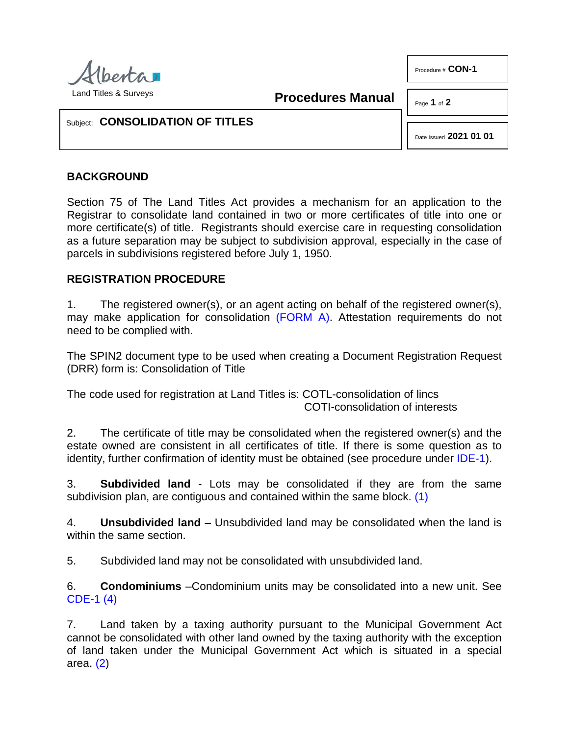

Land Titles & Surveys

**Procedures Manual**

Page **1** of **2**

Procedure # **CON-1** 

## Subject: **CONSOLIDATION OF TITLES**

Date Issued **2021 01 01**

## **BACKGROUND**

Section 75 of The Land Titles Act provides a mechanism for an application to the Registrar to consolidate land contained in two or more certificates of title into one or more certificate(s) of title. Registrants should exercise care in requesting consolidation as a future separation may be subject to subdivision approval, especially in the case of parcels in subdivisions registered before July 1, 1950.

## **REGISTRATION PROCEDURE**

1. The registered owner(s), or an agent acting on behalf of the registered owner(s), may make application for consolidation [\(FORM A\).](http://www.servicealberta.ca/pdf/ltmanual/CON-1-FORMA.pdf) Attestation requirements do not need to be complied with.

The SPIN2 document type to be used when creating a Document Registration Request (DRR) form is: Consolidation of Title

The code used for registration at Land Titles is: COTL-consolidation of lincs COTI-consolidation of interests

2. The certificate of title may be consolidated when the registered owner(s) and the estate owned are consistent in all certificates of title. If there is some question as to identity, further confirmation of identity must be obtained (see procedure under [IDE-1\)](http://www.servicealberta.ca/pdf/ltmanual/IDE-1.pdf).

<span id="page-0-0"></span>3. **Subdivided land** - Lots may be consolidated if they are from the same subdivision plan, are contiguous and contained within the same block. [\(1\)](#page-1-0)

4. **Unsubdivided land** – Unsubdivided land may be consolidated when the land is within the same section.

5. Subdivided land may not be consolidated with unsubdivided land.

<span id="page-0-2"></span>6. **Condominiums** –Condominium units may be consolidated into a new unit. See [CDE-1](http://www.servicealberta.ca/pdf/ltmanual/CDE-1.pdf) [\(4\)](#page-1-1)

<span id="page-0-1"></span>7. Land taken by a taxing authority pursuant to the Municipal Government Act cannot be consolidated with other land owned by the taxing authority with the exception of land taken under the Municipal Government Act which is situated in a special area. [\(2\)](#page-1-2)